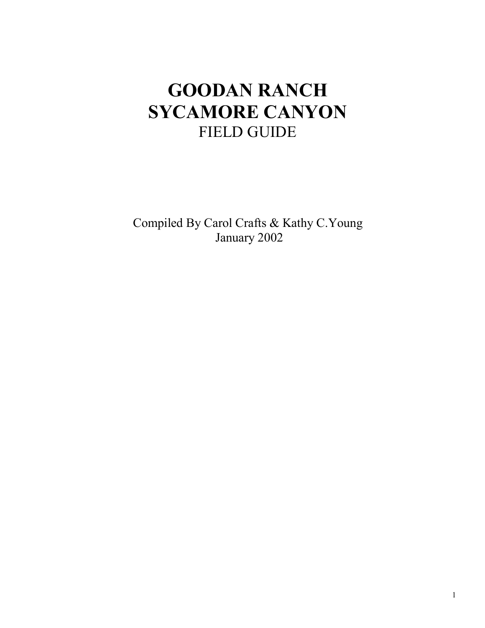# **GOODAN RANCH SYCAMORE CANYON**  FIELD GUIDE

Compiled By Carol Crafts & Kathy C.Young January 2002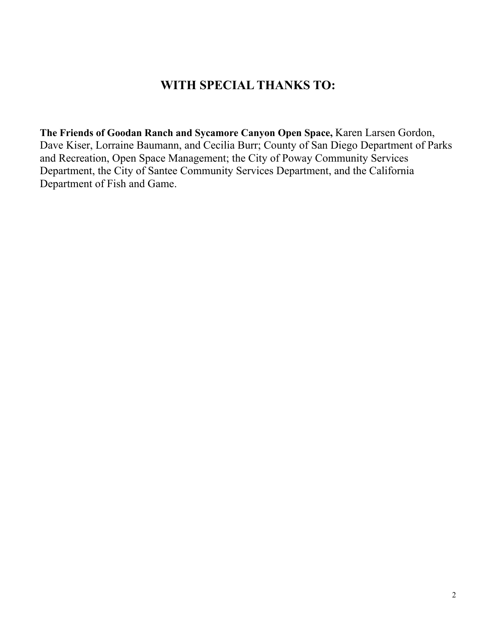#### **WITH SPECIAL THANKS TO:**

**The Friends of Goodan Ranch and Sycamore Canyon Open Space,** Karen Larsen Gordon, Dave Kiser, Lorraine Baumann, and Cecilia Burr; County of San Diego Department of Parks and Recreation, Open Space Management; the City of Poway Community Services Department, the City of Santee Community Services Department, and the California Department of Fish and Game.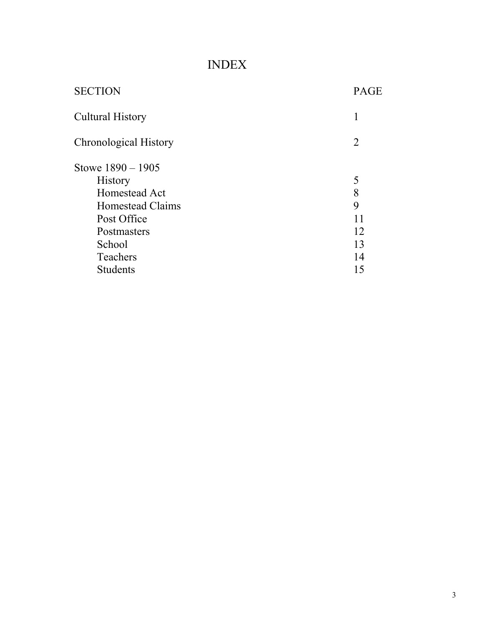## INDEX

| <b>PAGE</b>    |
|----------------|
| 1              |
| $\overline{2}$ |
|                |
| 5              |
| 8              |
| 9              |
| 11             |
| 12             |
| 13             |
| 14             |
| 15             |
|                |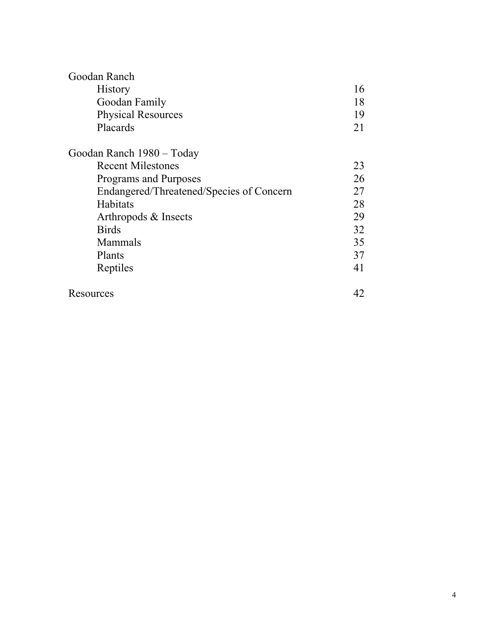| Goodan Ranch                             |    |
|------------------------------------------|----|
| <b>History</b>                           | 16 |
| Goodan Family                            | 18 |
| <b>Physical Resources</b>                | 19 |
| Placards                                 | 21 |
| Goodan Ranch 1980 - Today                |    |
| <b>Recent Milestones</b>                 | 23 |
| Programs and Purposes                    | 26 |
| Endangered/Threatened/Species of Concern | 27 |
| Habitats                                 | 28 |
| Arthropods & Insects                     | 29 |
| <b>Birds</b>                             | 32 |
| Mammals                                  | 35 |
| Plants                                   | 37 |
| Reptiles                                 | 41 |
| Resources                                | 42 |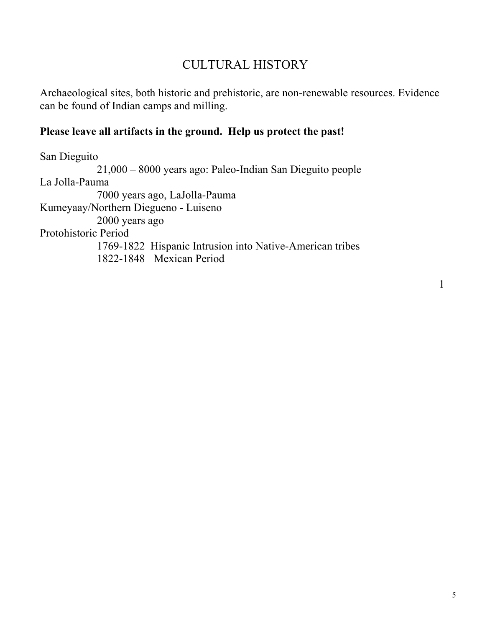## CULTURAL HISTORY

Archaeological sites, both historic and prehistoric, are non-renewable resources. Evidence can be found of Indian camps and milling.

#### **Please leave all artifacts in the ground. Help us protect the past!**

San Dieguito 21,000 – 8000 years ago: Paleo-Indian San Dieguito people La Jolla-Pauma 7000 years ago, LaJolla-Pauma Kumeyaay/Northern Diegueno - Luiseno 2000 years ago Protohistoric Period 1769-1822 Hispanic Intrusion into Native-American tribes 1822-1848 Mexican Period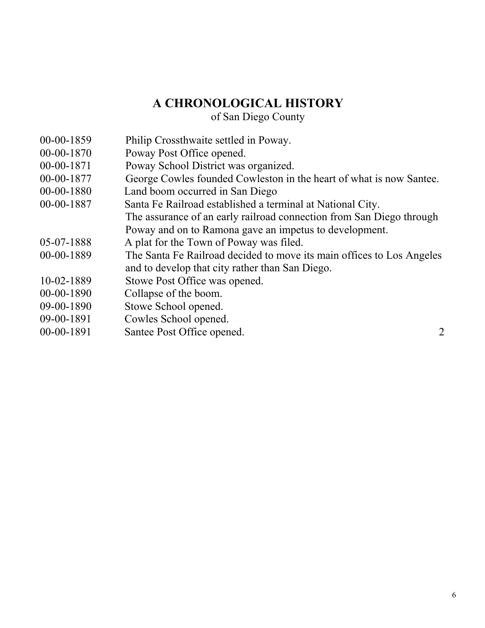#### **A CHRONOLOGICAL HISTORY**

of San Diego County

- 00-00-1859 Philip Crossthwaite settled in Poway.
- 00-00-1870 Poway Post Office opened.
- 00-00-1871 Poway School District was organized.
- 00-00-1877 George Cowles founded Cowleston in the heart of what is now Santee.
- 00-00-1880 Land boom occurred in San Diego
- 00-00-1887 Santa Fe Railroad established a terminal at National City.
	- The assurance of an early railroad connection from San Diego through Poway and on to Ramona gave an impetus to development.
- 05-07-1888 A plat for the Town of Poway was filed.
- 00-00-1889 The Santa Fe Railroad decided to move its main offices to Los Angeles and to develop that city rather than San Diego.
- 10-02-1889 Stowe Post Office was opened.
- 00-00-1890 Collapse of the boom.
- 09-00-1890 Stowe School opened.
- 09-00-1891 Cowles School opened.
- 00-00-1891 Santee Post Office opened. 2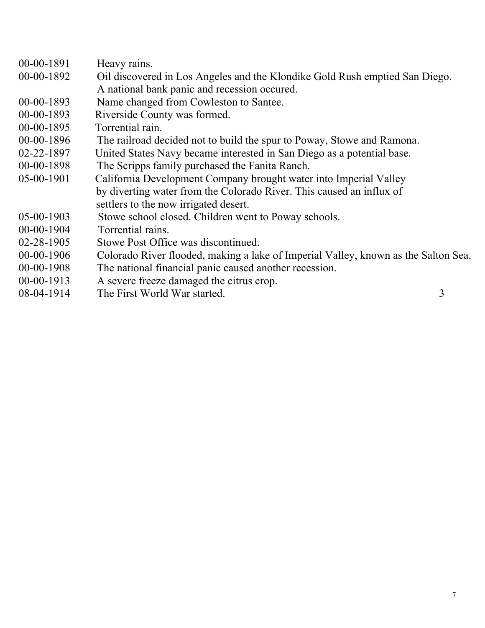| 00-00-1891                            | Heavy rains.                                                                       |
|---------------------------------------|------------------------------------------------------------------------------------|
| 00-00-1892                            | Oil discovered in Los Angeles and the Klondike Gold Rush emptied San Diego.        |
|                                       | A national bank panic and recession occured.                                       |
| $00-00-1893$                          | Name changed from Cowleston to Santee.                                             |
| $00-00-1893$                          | Riverside County was formed.                                                       |
| 00-00-1895                            | Torrential rain.                                                                   |
| $00-00-1896$                          | The railroad decided not to build the spur to Poway, Stowe and Ramona.             |
| $02 - 22 - 1897$                      | United States Navy became interested in San Diego as a potential base.             |
| $00-00-1898$                          | The Scripps family purchased the Fanita Ranch.                                     |
| 05-00-1901                            | California Development Company brought water into Imperial Valley                  |
|                                       | by diverting water from the Colorado River. This caused an influx of               |
|                                       | settlers to the now irrigated desert.                                              |
| $05-00-1903$                          | Stowe school closed. Children went to Poway schools.                               |
| $00-00-1904$                          | Torrential rains.                                                                  |
| $02 - 28 - 1905$                      | Stowe Post Office was discontinued.                                                |
| $00-00-1906$                          | Colorado River flooded, making a lake of Imperial Valley, known as the Salton Sea. |
| $00-00-1908$                          | The national financial panic caused another recession.                             |
| $00-00-1913$                          | A severe freeze damaged the citrus crop.                                           |
| $\bigcap \bigcap A$ 1 $\bigcap$ 1 $A$ | $\sim$<br>TL . F! W . 1 . W 1                                                      |

08-04-1914 The First World War started. 3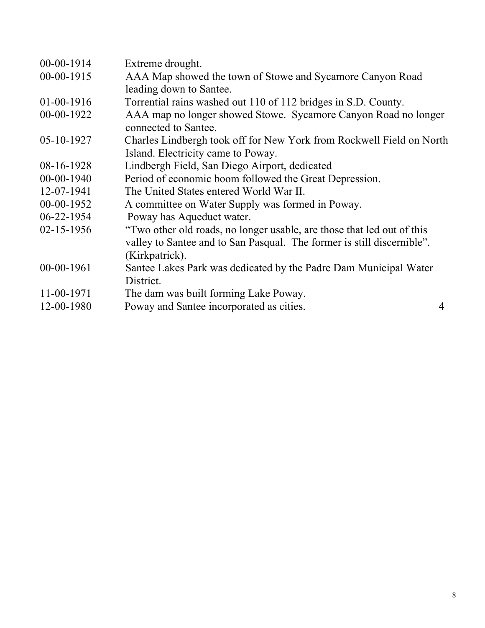| $00-00-1914$     | Extreme drought.                                                       |   |
|------------------|------------------------------------------------------------------------|---|
| $00-00-1915$     | AAA Map showed the town of Stowe and Sycamore Canyon Road              |   |
|                  | leading down to Santee.                                                |   |
| $01-00-1916$     | Torrential rains washed out 110 of 112 bridges in S.D. County.         |   |
| 00-00-1922       | AAA map no longer showed Stowe. Sycamore Canyon Road no longer         |   |
|                  | connected to Santee.                                                   |   |
| 05-10-1927       | Charles Lindbergh took off for New York from Rockwell Field on North   |   |
|                  | Island. Electricity came to Poway.                                     |   |
| 08-16-1928       | Lindbergh Field, San Diego Airport, dedicated                          |   |
| $00-00-1940$     | Period of economic boom followed the Great Depression.                 |   |
| 12-07-1941       | The United States entered World War II.                                |   |
| $00-00-1952$     | A committee on Water Supply was formed in Poway.                       |   |
| 06-22-1954       | Poway has Aqueduct water.                                              |   |
| $02 - 15 - 1956$ | "Two other old roads, no longer usable, are those that led out of this |   |
|                  | valley to Santee and to San Pasqual. The former is still discernible". |   |
|                  | (Kirkpatrick).                                                         |   |
| 00-00-1961       | Santee Lakes Park was dedicated by the Padre Dam Municipal Water       |   |
|                  | District.                                                              |   |
| 11-00-1971       | The dam was built forming Lake Poway.                                  |   |
| 12-00-1980       | Poway and Santee incorporated as cities.                               | 4 |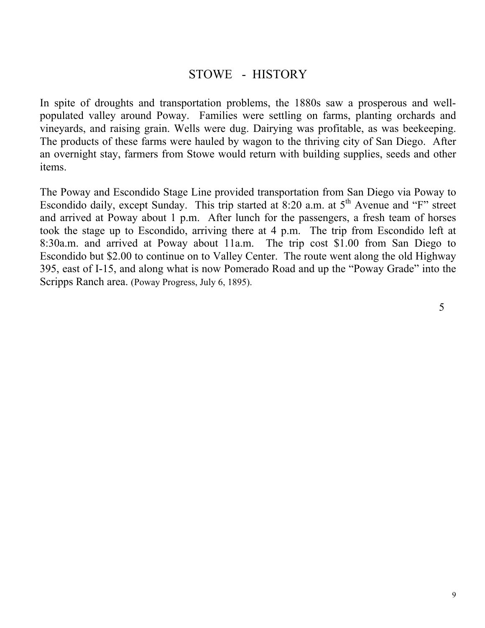#### STOWE - HISTORY

In spite of droughts and transportation problems, the 1880s saw a prosperous and wellpopulated valley around Poway. Families were settling on farms, planting orchards and vineyards, and raising grain. Wells were dug. Dairying was profitable, as was beekeeping. The products of these farms were hauled by wagon to the thriving city of San Diego. After an overnight stay, farmers from Stowe would return with building supplies, seeds and other items.

The Poway and Escondido Stage Line provided transportation from San Diego via Poway to Escondido daily, except Sunday. This trip started at  $8:20$  a.m. at  $5<sup>th</sup>$  Avenue and "F" street and arrived at Poway about 1 p.m. After lunch for the passengers, a fresh team of horses took the stage up to Escondido, arriving there at 4 p.m. The trip from Escondido left at 8:30a.m. and arrived at Poway about 11a.m. The trip cost \$1.00 from San Diego to Escondido but \$2.00 to continue on to Valley Center. The route went along the old Highway 395, east of I-15, and along what is now Pomerado Road and up the "Poway Grade" into the Scripps Ranch area. (Poway Progress, July 6, 1895).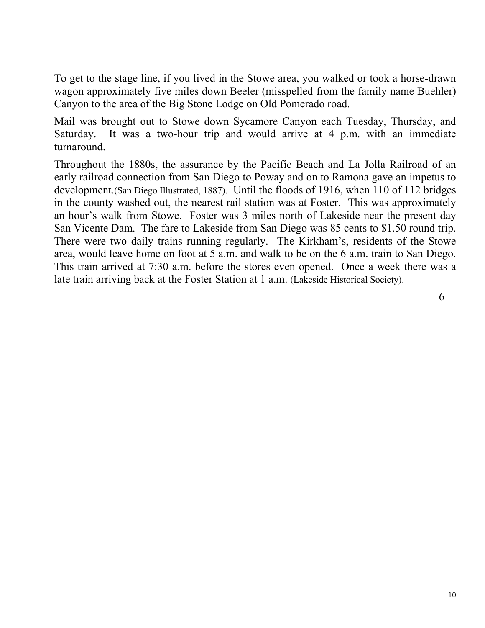To get to the stage line, if you lived in the Stowe area, you walked or took a horse-drawn wagon approximately five miles down Beeler (misspelled from the family name Buehler) Canyon to the area of the Big Stone Lodge on Old Pomerado road.

Mail was brought out to Stowe down Sycamore Canyon each Tuesday, Thursday, and Saturday. It was a two-hour trip and would arrive at 4 p.m. with an immediate turnaround.

Throughout the 1880s, the assurance by the Pacific Beach and La Jolla Railroad of an early railroad connection from San Diego to Poway and on to Ramona gave an impetus to development.(San Diego Illustrated, 1887). Until the floods of 1916, when 110 of 112 bridges in the county washed out, the nearest rail station was at Foster. This was approximately an hour's walk from Stowe. Foster was 3 miles north of Lakeside near the present day San Vicente Dam. The fare to Lakeside from San Diego was 85 cents to \$1.50 round trip. There were two daily trains running regularly. The Kirkham's, residents of the Stowe area, would leave home on foot at 5 a.m. and walk to be on the 6 a.m. train to San Diego. This train arrived at 7:30 a.m. before the stores even opened. Once a week there was a late train arriving back at the Foster Station at 1 a.m. (Lakeside Historical Society).

6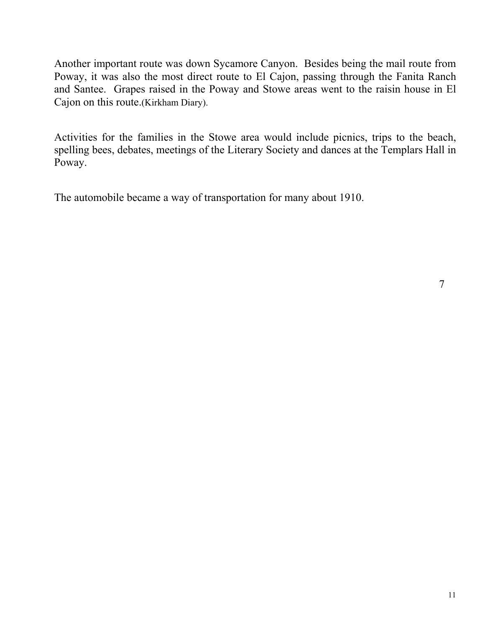Another important route was down Sycamore Canyon. Besides being the mail route from Poway, it was also the most direct route to El Cajon, passing through the Fanita Ranch and Santee. Grapes raised in the Poway and Stowe areas went to the raisin house in El Cajon on this route.(Kirkham Diary).

Activities for the families in the Stowe area would include picnics, trips to the beach, spelling bees, debates, meetings of the Literary Society and dances at the Templars Hall in Poway.

The automobile became a way of transportation for many about 1910.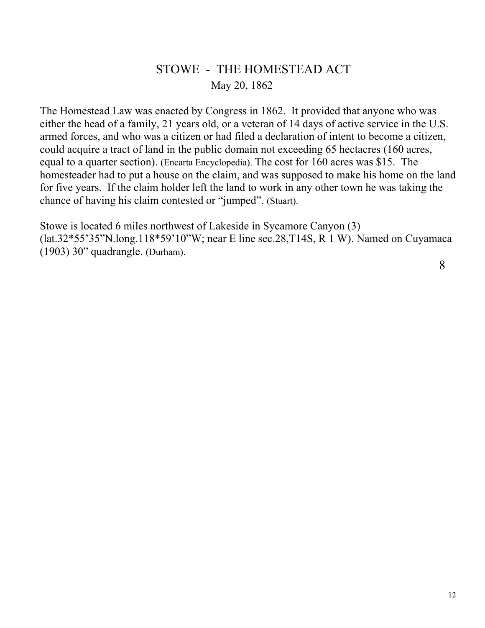#### STOWE - THE HOMESTEAD ACT May 20, 1862

The Homestead Law was enacted by Congress in 1862. It provided that anyone who was either the head of a family, 21 years old, or a veteran of 14 days of active service in the U.S. armed forces, and who was a citizen or had filed a declaration of intent to become a citizen, could acquire a tract of land in the public domain not exceeding 65 hectacres (160 acres, equal to a quarter section). (Encarta Encyclopedia). The cost for 160 acres was \$15. The homesteader had to put a house on the claim, and was supposed to make his home on the land for five years. If the claim holder left the land to work in any other town he was taking the chance of having his claim contested or "jumped". (Stuart).

Stowe is located 6 miles northwest of Lakeside in Sycamore Canyon (3) (lat.32\*55'35"N.long.118\*59'10"W; near E line sec.28,T14S, R 1 W). Named on Cuyamaca (1903) 30" quadrangle. (Durham).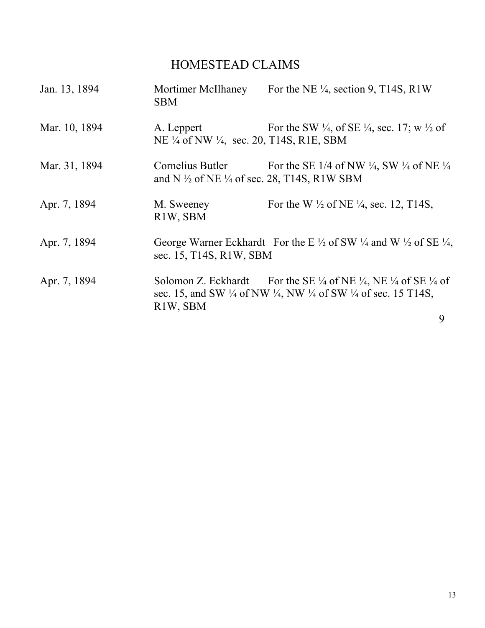## HOMESTEAD CLAIMS

| Jan. 13, 1894 | Mortimer McIlhaney<br><b>SBM</b>                                                      | For the NE $\frac{1}{4}$ , section 9, T14S, R1W                                                                                                                                                                         |  |
|---------------|---------------------------------------------------------------------------------------|-------------------------------------------------------------------------------------------------------------------------------------------------------------------------------------------------------------------------|--|
| Mar. 10, 1894 | A. Leppert<br>NE 1/4 of NW 1/4, sec. 20, T14S, R1E, SBM                               | For the SW $\frac{1}{4}$ , of SE $\frac{1}{4}$ , sec. 17; w $\frac{1}{2}$ of                                                                                                                                            |  |
| Mar. 31, 1894 | Cornelius Butler<br>and N $\frac{1}{2}$ of NE $\frac{1}{4}$ of sec. 28, T14S, R1W SBM | For the SE 1/4 of NW $\frac{1}{4}$ , SW $\frac{1}{4}$ of NE $\frac{1}{4}$                                                                                                                                               |  |
| Apr. 7, 1894  | M. Sweeney<br>R1W, SBM                                                                | For the W $\frac{1}{2}$ of NE $\frac{1}{4}$ , sec. 12, T14S,                                                                                                                                                            |  |
| Apr. 7, 1894  | sec. 15, T14S, R1W, SBM                                                               | George Warner Eckhardt For the E $\frac{1}{2}$ of SW $\frac{1}{4}$ and W $\frac{1}{2}$ of SE $\frac{1}{4}$ ,                                                                                                            |  |
| Apr. 7, 1894  | R1W, SBM                                                                              | Solomon Z. Eckhardt For the SE $\frac{1}{4}$ of NE $\frac{1}{4}$ , NE $\frac{1}{4}$ of SE $\frac{1}{4}$ of<br>sec. 15, and SW $\frac{1}{4}$ of NW $\frac{1}{4}$ , NW $\frac{1}{4}$ of SW $\frac{1}{4}$ of sec. 15 T14S, |  |
|               |                                                                                       | 9                                                                                                                                                                                                                       |  |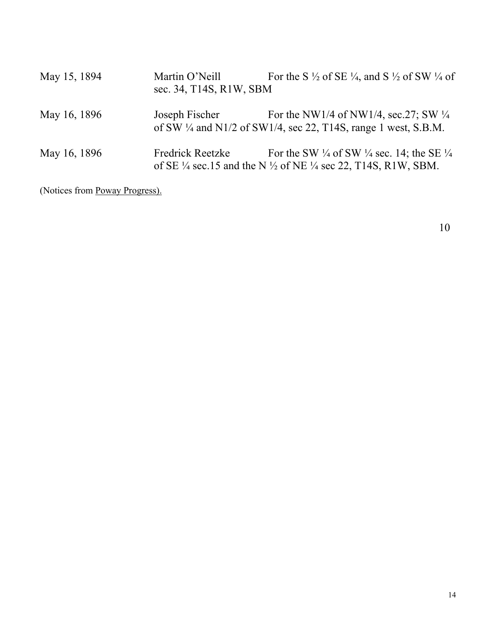| May 15, 1894 | Martin O'Neill<br>sec. 34, T14S, R1W, SBM | For the S $\frac{1}{2}$ of SE $\frac{1}{4}$ , and S $\frac{1}{2}$ of SW $\frac{1}{4}$ of                                                                                     |
|--------------|-------------------------------------------|------------------------------------------------------------------------------------------------------------------------------------------------------------------------------|
| May 16, 1896 | Joseph Fischer                            | For the NW1/4 of NW1/4, sec. 27; SW $\frac{1}{4}$<br>of SW $\frac{1}{4}$ and N1/2 of SW1/4, sec 22, T14S, range 1 west, S.B.M.                                               |
| May 16, 1896 | <b>Fredrick Reetzke</b>                   | For the SW $\frac{1}{4}$ of SW $\frac{1}{4}$ sec. 14; the SE $\frac{1}{4}$<br>of SE $\frac{1}{4}$ sec.15 and the N $\frac{1}{2}$ of NE $\frac{1}{4}$ sec 22, T14S, R1W, SBM. |

(Notices from Poway Progress).

10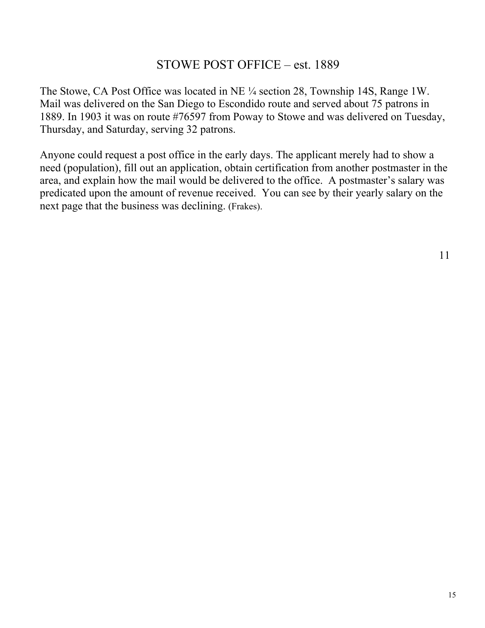#### STOWE POST OFFICE – est. 1889

The Stowe, CA Post Office was located in NE ¼ section 28, Township 14S, Range 1W. Mail was delivered on the San Diego to Escondido route and served about 75 patrons in 1889. In 1903 it was on route #76597 from Poway to Stowe and was delivered on Tuesday, Thursday, and Saturday, serving 32 patrons.

Anyone could request a post office in the early days. The applicant merely had to show a need (population), fill out an application, obtain certification from another postmaster in the area, and explain how the mail would be delivered to the office. A postmaster's salary was predicated upon the amount of revenue received. You can see by their yearly salary on the next page that the business was declining. (Frakes).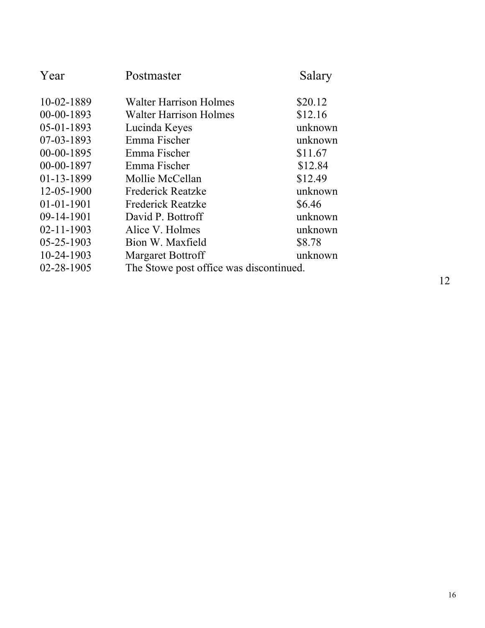| Year             | Postmaster                              | Salary  |
|------------------|-----------------------------------------|---------|
| 10-02-1889       | <b>Walter Harrison Holmes</b>           | \$20.12 |
| 00-00-1893       | <b>Walter Harrison Holmes</b>           | \$12.16 |
| 05-01-1893       | Lucinda Keyes                           | unknown |
| 07-03-1893       | Emma Fischer                            | unknown |
| 00-00-1895       | Emma Fischer                            | \$11.67 |
| 00-00-1897       | Emma Fischer                            | \$12.84 |
| 01-13-1899       | Mollie McCellan                         | \$12.49 |
| 12-05-1900       | <b>Frederick Reatzke</b>                | unknown |
| $01 - 01 - 1901$ | <b>Frederick Reatzke</b>                | \$6.46  |
| 09-14-1901       | David P. Bottroff                       | unknown |
| $02 - 11 - 1903$ | Alice V. Holmes                         | unknown |
| 05-25-1903       | Bion W. Maxfield                        | \$8.78  |
| 10-24-1903       | <b>Margaret Bottroff</b>                | unknown |
| $02 - 28 - 1905$ | The Stowe post office was discontinued. |         |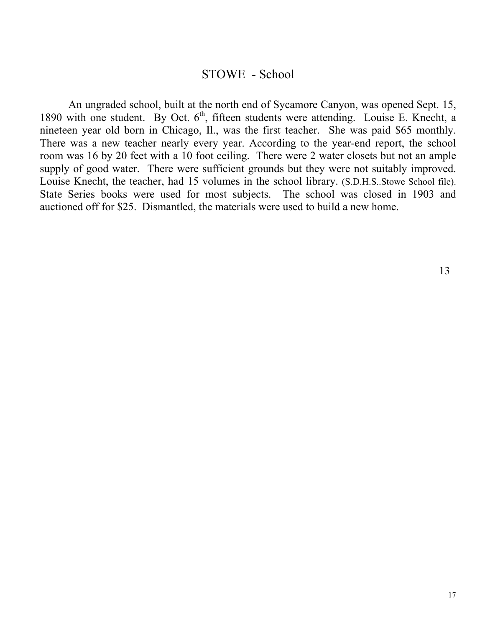#### STOWE - School

 An ungraded school, built at the north end of Sycamore Canyon, was opened Sept. 15, 1890 with one student. By Oct.  $6<sup>th</sup>$ , fifteen students were attending. Louise E. Knecht, a nineteen year old born in Chicago, Il., was the first teacher. She was paid \$65 monthly. There was a new teacher nearly every year. According to the year-end report, the school room was 16 by 20 feet with a 10 foot ceiling. There were 2 water closets but not an ample supply of good water. There were sufficient grounds but they were not suitably improved. Louise Knecht, the teacher, had 15 volumes in the school library. (S.D.H.S..Stowe School file). State Series books were used for most subjects. The school was closed in 1903 and auctioned off for \$25. Dismantled, the materials were used to build a new home.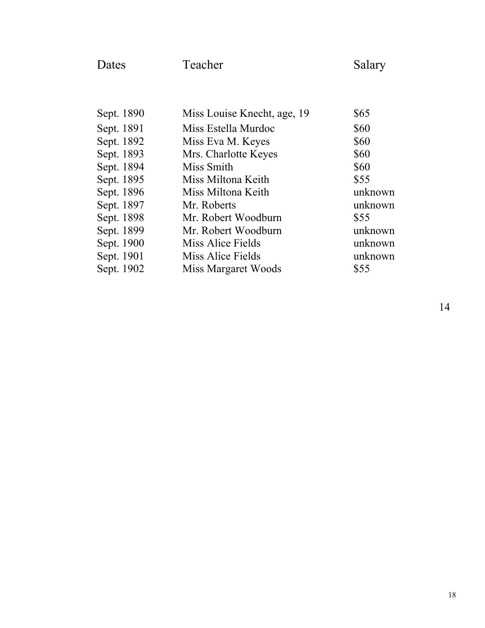| Dates      | Teacher                     | Salary  |
|------------|-----------------------------|---------|
|            |                             |         |
| Sept. 1890 | Miss Louise Knecht, age, 19 | \$65    |
| Sept. 1891 | Miss Estella Murdoc         | \$60    |
| Sept. 1892 | Miss Eva M. Keyes           | \$60    |
| Sept. 1893 | Mrs. Charlotte Keyes        | \$60    |
| Sept. 1894 | Miss Smith                  | \$60    |
| Sept. 1895 | Miss Miltona Keith          | \$55    |
| Sept. 1896 | Miss Miltona Keith          | unknown |
| Sept. 1897 | Mr. Roberts                 | unknown |
| Sept. 1898 | Mr. Robert Woodburn         | \$55    |
| Sept. 1899 | Mr. Robert Woodburn         | unknown |
| Sept. 1900 | Miss Alice Fields           | unknown |
| Sept. 1901 | Miss Alice Fields           | unknown |
| Sept. 1902 | Miss Margaret Woods         | \$55    |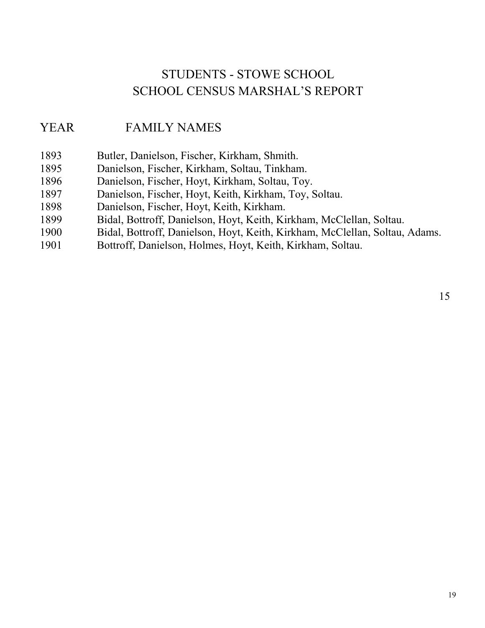## STUDENTS - STOWE SCHOOL SCHOOL CENSUS MARSHAL'S REPORT

#### YEAR FAMILY NAMES

- 1893 Butler, Danielson, Fischer, Kirkham, Shmith.
- 1895 Danielson, Fischer, Kirkham, Soltau, Tinkham.
- 1896 Danielson, Fischer, Hoyt, Kirkham, Soltau, Toy.
- 1897 Danielson, Fischer, Hoyt, Keith, Kirkham, Toy, Soltau.
- 1898 Danielson, Fischer, Hoyt, Keith, Kirkham.
- 1899 Bidal, Bottroff, Danielson, Hoyt, Keith, Kirkham, McClellan, Soltau.
- 1900 Bidal, Bottroff, Danielson, Hoyt, Keith, Kirkham, McClellan, Soltau, Adams.
- 1901 Bottroff, Danielson, Holmes, Hoyt, Keith, Kirkham, Soltau.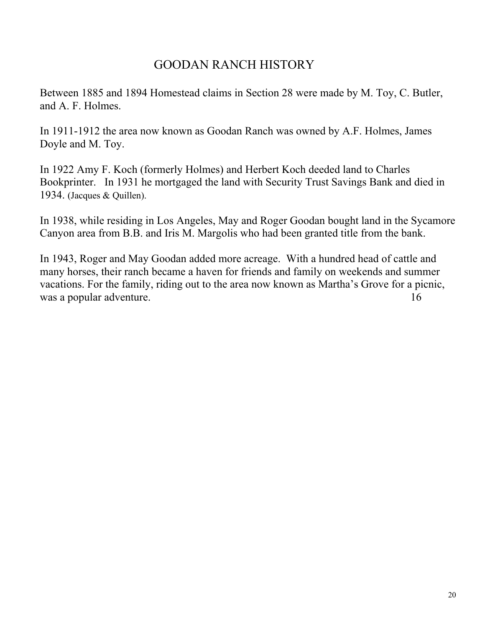### GOODAN RANCH HISTORY

Between 1885 and 1894 Homestead claims in Section 28 were made by M. Toy, C. Butler, and A. F. Holmes.

In 1911-1912 the area now known as Goodan Ranch was owned by A.F. Holmes, James Doyle and M. Toy.

In 1922 Amy F. Koch (formerly Holmes) and Herbert Koch deeded land to Charles Bookprinter. In 1931 he mortgaged the land with Security Trust Savings Bank and died in 1934. (Jacques & Quillen).

In 1938, while residing in Los Angeles, May and Roger Goodan bought land in the Sycamore Canyon area from B.B. and Iris M. Margolis who had been granted title from the bank.

In 1943, Roger and May Goodan added more acreage. With a hundred head of cattle and many horses, their ranch became a haven for friends and family on weekends and summer vacations. For the family, riding out to the area now known as Martha's Grove for a picnic, was a popular adventure. 16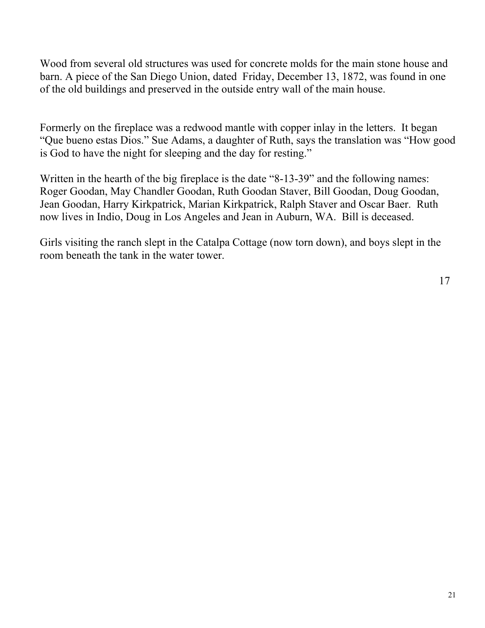Wood from several old structures was used for concrete molds for the main stone house and barn. A piece of the San Diego Union, dated Friday, December 13, 1872, was found in one of the old buildings and preserved in the outside entry wall of the main house.

Formerly on the fireplace was a redwood mantle with copper inlay in the letters. It began "Que bueno estas Dios." Sue Adams, a daughter of Ruth, says the translation was "How good is God to have the night for sleeping and the day for resting."

Written in the hearth of the big fireplace is the date "8-13-39" and the following names: Roger Goodan, May Chandler Goodan, Ruth Goodan Staver, Bill Goodan, Doug Goodan, Jean Goodan, Harry Kirkpatrick, Marian Kirkpatrick, Ralph Staver and Oscar Baer. Ruth now lives in Indio, Doug in Los Angeles and Jean in Auburn, WA. Bill is deceased.

Girls visiting the ranch slept in the Catalpa Cottage (now torn down), and boys slept in the room beneath the tank in the water tower.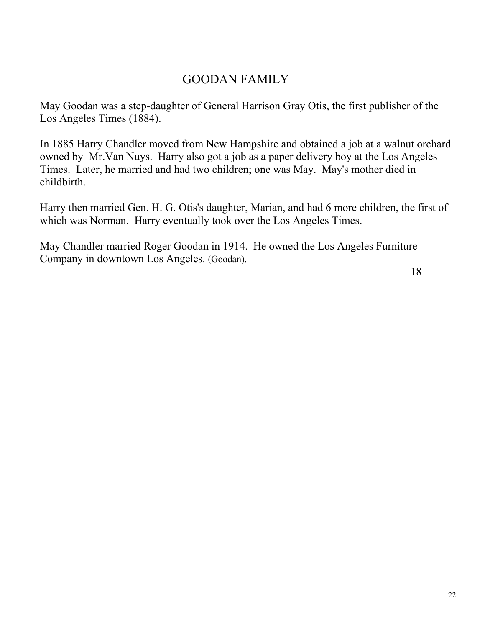#### GOODAN FAMILY

May Goodan was a step-daughter of General Harrison Gray Otis, the first publisher of the Los Angeles Times (1884).

In 1885 Harry Chandler moved from New Hampshire and obtained a job at a walnut orchard owned by Mr.Van Nuys. Harry also got a job as a paper delivery boy at the Los Angeles Times. Later, he married and had two children; one was May. May's mother died in childbirth.

Harry then married Gen. H. G. Otis's daughter, Marian, and had 6 more children, the first of which was Norman. Harry eventually took over the Los Angeles Times.

May Chandler married Roger Goodan in 1914. He owned the Los Angeles Furniture Company in downtown Los Angeles. (Goodan).

18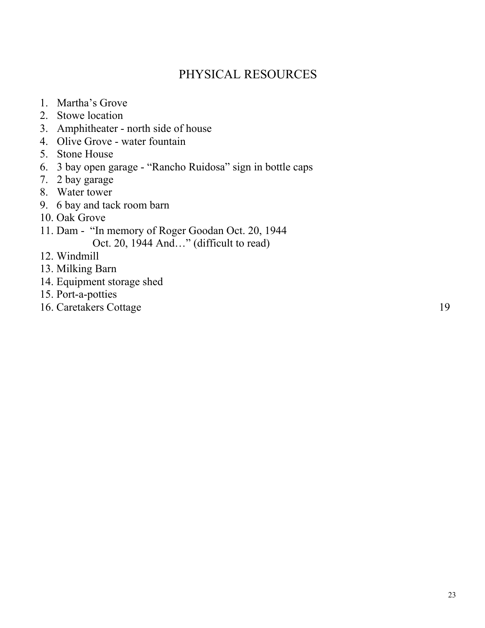## PHYSICAL RESOURCES

- 1. Martha's Grove
- 2. Stowe location
- 3. Amphitheater north side of house
- 4. Olive Grove water fountain
- 5. Stone House
- 6. 3 bay open garage "Rancho Ruidosa" sign in bottle caps
- 7. 2 bay garage
- 8. Water tower
- 9. 6 bay and tack room barn
- 10. Oak Grove
- 11. Dam "In memory of Roger Goodan Oct. 20, 1944 Oct. 20, 1944 And…" (difficult to read)
- 12. Windmill
- 13. Milking Barn
- 14. Equipment storage shed
- 15. Port-a-potties
- 16. Caretakers Cottage 19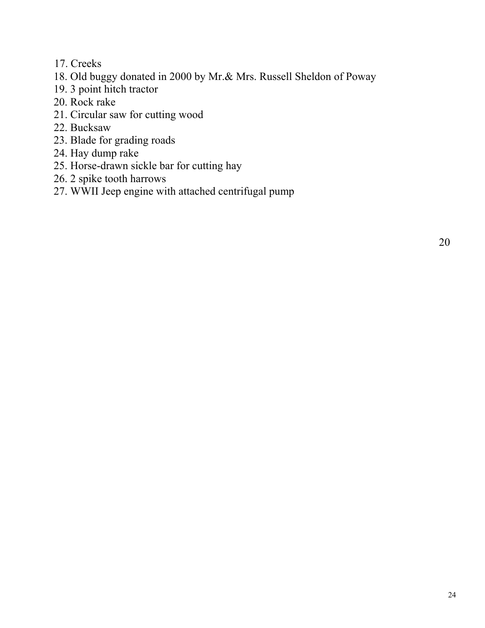- 17. Creeks
- 18. Old buggy donated in 2000 by Mr.& Mrs. Russell Sheldon of Poway
- 19. 3 point hitch tractor
- 20. Rock rake
- 21. Circular saw for cutting wood
- 22. Bucksaw
- 23. Blade for grading roads
- 24. Hay dump rake
- 25. Horse-drawn sickle bar for cutting hay
- 26. 2 spike tooth harrows
- 27. WWII Jeep engine with attached centrifugal pump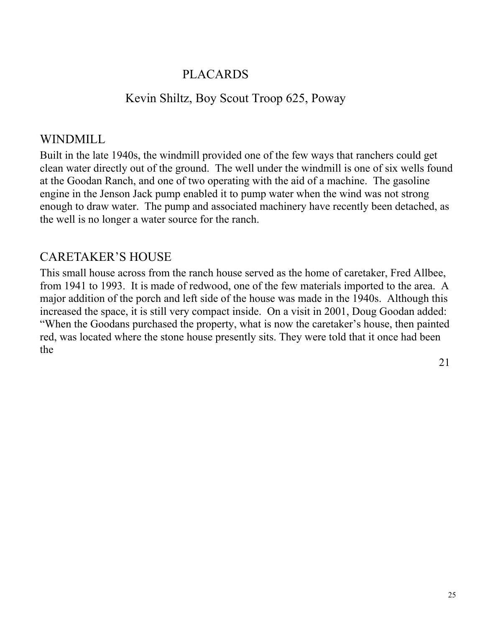#### PLACARDS

#### Kevin Shiltz, Boy Scout Troop 625, Poway

#### WINDMILL

Built in the late 1940s, the windmill provided one of the few ways that ranchers could get clean water directly out of the ground. The well under the windmill is one of six wells found at the Goodan Ranch, and one of two operating with the aid of a machine. The gasoline engine in the Jenson Jack pump enabled it to pump water when the wind was not strong enough to draw water. The pump and associated machinery have recently been detached, as the well is no longer a water source for the ranch.

### CARETAKER'S HOUSE

This small house across from the ranch house served as the home of caretaker, Fred Allbee, from 1941 to 1993. It is made of redwood, one of the few materials imported to the area. A major addition of the porch and left side of the house was made in the 1940s. Although this increased the space, it is still very compact inside. On a visit in 2001, Doug Goodan added: "When the Goodans purchased the property, what is now the caretaker's house, then painted red, was located where the stone house presently sits. They were told that it once had been the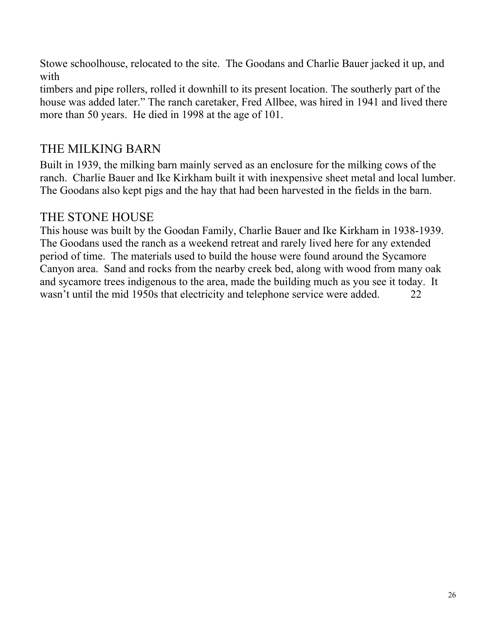Stowe schoolhouse, relocated to the site. The Goodans and Charlie Bauer jacked it up, and with

timbers and pipe rollers, rolled it downhill to its present location. The southerly part of the house was added later." The ranch caretaker, Fred Allbee, was hired in 1941 and lived there more than 50 years. He died in 1998 at the age of 101.

## THE MILKING BARN

Built in 1939, the milking barn mainly served as an enclosure for the milking cows of the ranch. Charlie Bauer and Ike Kirkham built it with inexpensive sheet metal and local lumber. The Goodans also kept pigs and the hay that had been harvested in the fields in the barn.

#### THE STONE HOUSE

This house was built by the Goodan Family, Charlie Bauer and Ike Kirkham in 1938-1939. The Goodans used the ranch as a weekend retreat and rarely lived here for any extended period of time. The materials used to build the house were found around the Sycamore Canyon area. Sand and rocks from the nearby creek bed, along with wood from many oak and sycamore trees indigenous to the area, made the building much as you see it today. It wasn't until the mid 1950s that electricity and telephone service were added. 22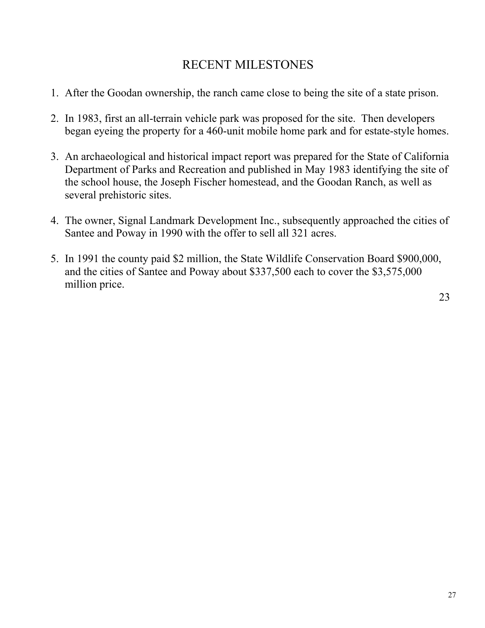## RECENT MILESTONES

- 1. After the Goodan ownership, the ranch came close to being the site of a state prison.
- 2. In 1983, first an all-terrain vehicle park was proposed for the site. Then developers began eyeing the property for a 460-unit mobile home park and for estate-style homes.
- 3. An archaeological and historical impact report was prepared for the State of California Department of Parks and Recreation and published in May 1983 identifying the site of the school house, the Joseph Fischer homestead, and the Goodan Ranch, as well as several prehistoric sites.
- 4. The owner, Signal Landmark Development Inc., subsequently approached the cities of Santee and Poway in 1990 with the offer to sell all 321 acres.
- 5. In 1991 the county paid \$2 million, the State Wildlife Conservation Board \$900,000, and the cities of Santee and Poway about \$337,500 each to cover the \$3,575,000 million price.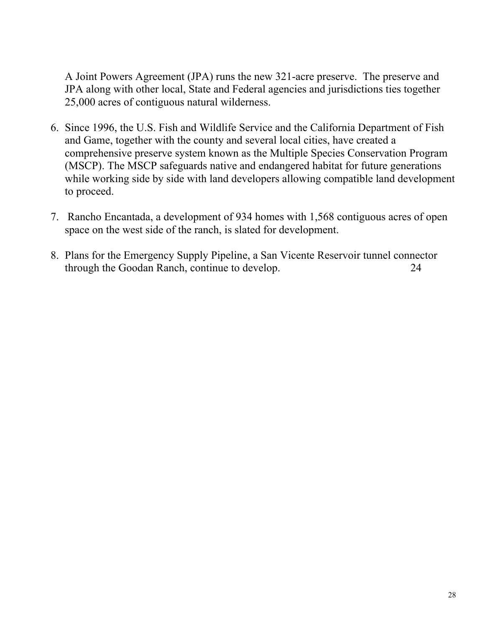A Joint Powers Agreement (JPA) runs the new 321-acre preserve. The preserve and JPA along with other local, State and Federal agencies and jurisdictions ties together 25,000 acres of contiguous natural wilderness.

- 6. Since 1996, the U.S. Fish and Wildlife Service and the California Department of Fish and Game, together with the county and several local cities, have created a comprehensive preserve system known as the Multiple Species Conservation Program (MSCP). The MSCP safeguards native and endangered habitat for future generations while working side by side with land developers allowing compatible land development to proceed.
- 7. Rancho Encantada, a development of 934 homes with 1,568 contiguous acres of open space on the west side of the ranch, is slated for development.
- 8. Plans for the Emergency Supply Pipeline, a San Vicente Reservoir tunnel connector through the Goodan Ranch, continue to develop. 24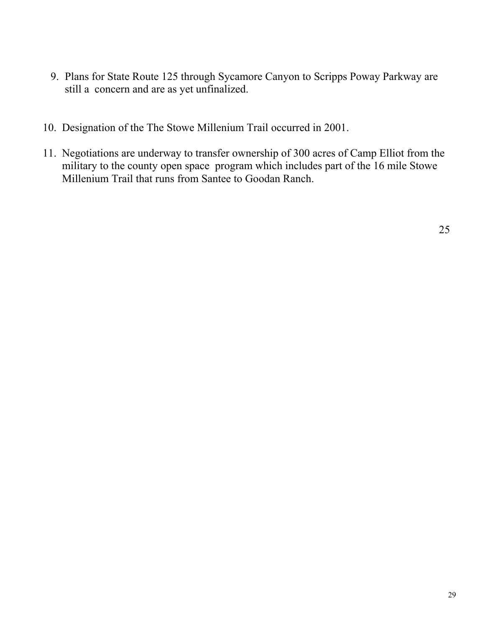- 9. Plans for State Route 125 through Sycamore Canyon to Scripps Poway Parkway are still a concern and are as yet unfinalized.
- 10. Designation of the The Stowe Millenium Trail occurred in 2001.
- 11. Negotiations are underway to transfer ownership of 300 acres of Camp Elliot from the military to the county open space program which includes part of the 16 mile Stowe Millenium Trail that runs from Santee to Goodan Ranch.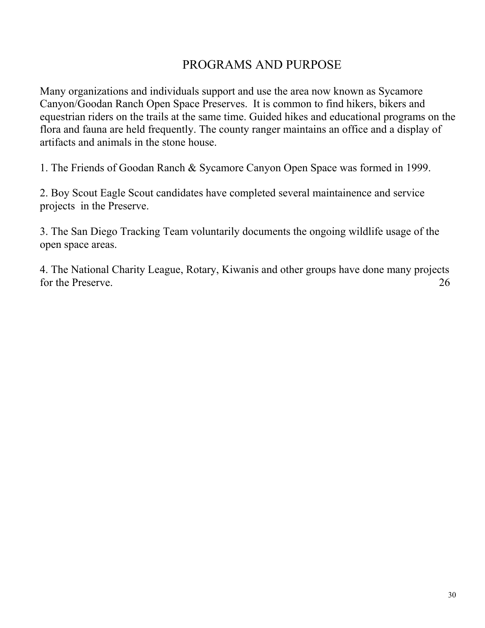#### PROGRAMS AND PURPOSE

Many organizations and individuals support and use the area now known as Sycamore Canyon/Goodan Ranch Open Space Preserves. It is common to find hikers, bikers and equestrian riders on the trails at the same time. Guided hikes and educational programs on the flora and fauna are held frequently. The county ranger maintains an office and a display of artifacts and animals in the stone house.

1. The Friends of Goodan Ranch & Sycamore Canyon Open Space was formed in 1999.

2. Boy Scout Eagle Scout candidates have completed several maintainence and service projects in the Preserve.

3. The San Diego Tracking Team voluntarily documents the ongoing wildlife usage of the open space areas.

4. The National Charity League, Rotary, Kiwanis and other groups have done many projects for the Preserve. 26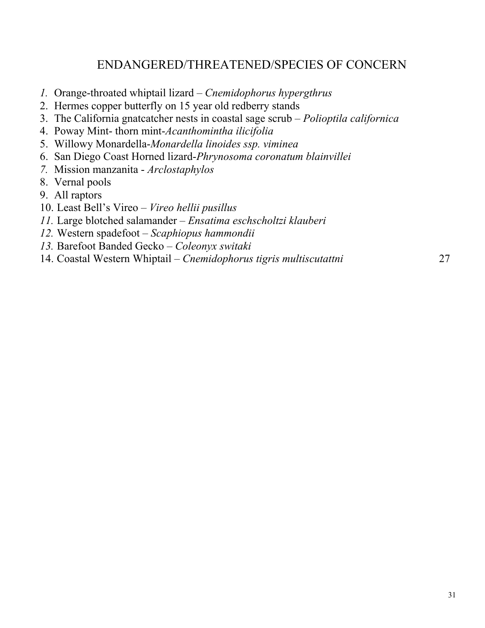#### ENDANGERED/THREATENED/SPECIES OF CONCERN

- *1.* Orange-throated whiptail lizard *Cnemidophorus hypergthrus*
- 2. Hermes copper butterfly on 15 year old redberry stands
- 3. The California gnatcatcher nests in coastal sage scrub *Polioptila californica*
- 4. Poway Mint- thorn mint-*Acanthomintha ilicifolia*
- 5. Willowy Monardella-*Monardella linoides ssp. viminea*
- 6. San Diego Coast Horned lizard-*Phrynosoma coronatum blainvillei*
- *7.* Mission manzanita *Arclostaphylos*
- 8. Vernal pools
- 9. All raptors
- 10. Least Bell's Vireo *Vireo hellii pusillus*
- *11.* Large blotched salamander *Ensatima eschscholtzi klauberi*
- *12.* Western spadefoot *Scaphiopus hammondii*
- *13.* Barefoot Banded Gecko *Coleonyx switaki*
- 14. Coastal Western Whiptail *Cnemidophorus tigris multiscutattni* 27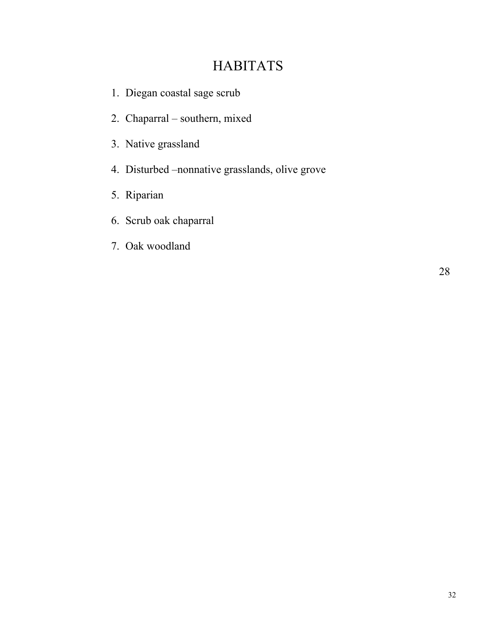## **HABITATS**

- 1. Diegan coastal sage scrub
- 2. Chaparral southern, mixed
- 3. Native grassland
- 4. Disturbed –nonnative grasslands, olive grove
- 5. Riparian
- 6. Scrub oak chaparral
- 7. Oak woodland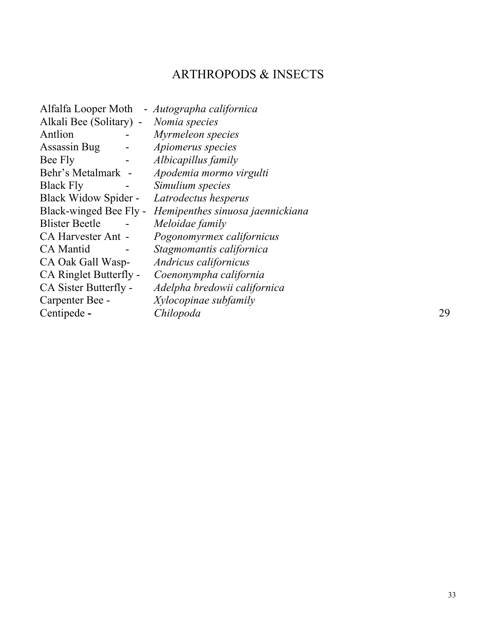## ARTHROPODS & INSECTS

| Alfalfa Looper Moth       | - Autographa californica         |    |
|---------------------------|----------------------------------|----|
| Alkali Bee (Solitary) -   | Nomia species                    |    |
| Antlion                   | Myrmeleon species                |    |
| Assassin Bug              | Apiomerus species                |    |
| Bee Fly                   | Albicapillus family              |    |
| Behr's Metalmark -        | Apodemia mormo virgulti          |    |
| <b>Black Fly</b>          | Simulium species                 |    |
| Black Widow Spider -      | Latrodectus hesperus             |    |
| Black-winged Bee Fly -    | Hemipenthes sinuosa jaennickiana |    |
| <b>Blister Beetle</b>     | Meloidae family                  |    |
| <b>CA Harvester Ant -</b> | Pogonomyrmex californicus        |    |
| <b>CA</b> Mantid          | Stagmomantis californica         |    |
| CA Oak Gall Wasp-         | Andricus californicus            |    |
| CA Ringlet Butterfly -    | Coenonympha california           |    |
| CA Sister Butterfly -     | Adelpha bredowii californica     |    |
| Carpenter Bee -           | Xylocopinae subfamily            |    |
| Centipede -               | Chilopoda                        | 29 |
|                           |                                  |    |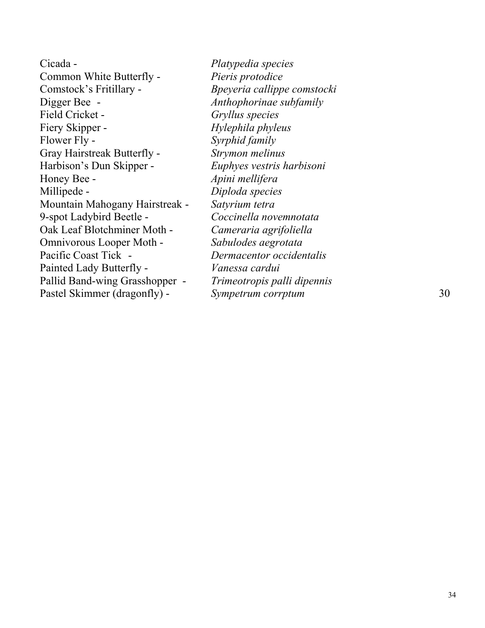Cicada - *Platypedia species*  Common White Butterfly - *Pieris protodice*  Comstock's Fritillary - *Bpeyeria callippe comstocki* Digger Bee - *Anthophorinae subfamily* Field Cricket - *Gryllus species*  Fiery Skipper - *Hylephila phyleus*  Flower Fly - *Syrphid family*  Gray Hairstreak Butterfly - *Strymon melinus* Harbison's Dun Skipper - *Euphyes vestris harbisoni*  Honey Bee - *Apini mellifera*  Millipede - *Diploda species*  Mountain Mahogany Hairstreak - *Satyrium tetra*  9-spot Ladybird Beetle - *Coccinella novemnotata* Oak Leaf Blotchminer Moth - *Cameraria agrifoliella*  Omnivorous Looper Moth - *Sabulodes aegrotata* Pacific Coast Tick - *Dermacentor occidentalis*  Painted Lady Butterfly - *Vanessa cardui*  Pallid Band-wing Grasshopper - *Trimeotropis palli dipennis*  Pastel Skimmer (dragonfly) - *Sympetrum corrptum*  $\frac{30}{2}$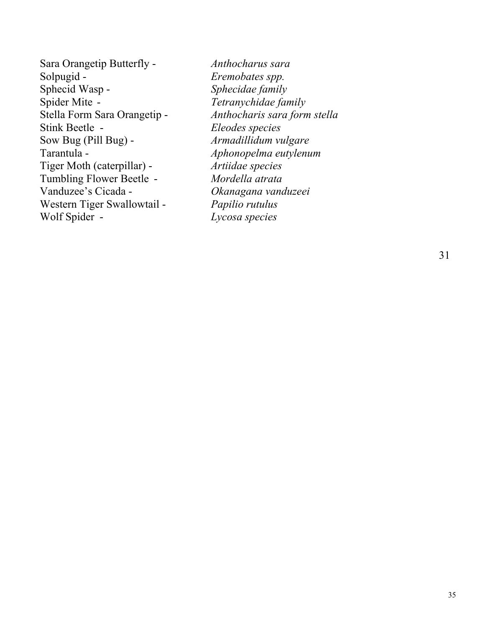Sara Orangetip Butterfly - *Anthocharus sara*  Solpugid - *Eremobates spp.*  Sphecid Wasp - *Sphecidae family*  Spider Mite - *Tetranychidae family*  Stella Form Sara Orangetip - *Anthocharis sara form stella*  Stink Beetle - *Eleodes species* Sow Bug (Pill Bug) - *Armadillidum vulgare*  Tarantula - *Aphonopelma eutylenum*  Tiger Moth (caterpillar) - *Artiidae species* Tumbling Flower Beetle - *Mordella atrata*  Vanduzee's Cicada - *Okanagana vanduzeei*  Western Tiger Swallowtail - *Papilio rutulus*  Wolf Spider - *Lycosa species*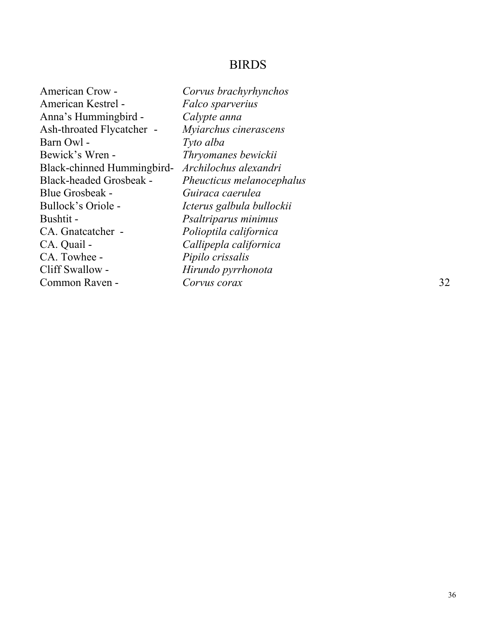#### BIRDS

| American Crow -                | Corvus brachyrhynchos     |    |
|--------------------------------|---------------------------|----|
| American Kestrel -             | Falco sparverius          |    |
| Anna's Hummingbird -           | Calypte anna              |    |
| Ash-throated Flycatcher -      | Myiarchus cinerascens     |    |
| Barn Owl -                     | Tyto alba                 |    |
| Bewick's Wren -                | Thryomanes bewickii       |    |
| Black-chinned Hummingbird-     | Archilochus alexandri     |    |
| <b>Black-headed Grosbeak -</b> | Pheucticus melanocephalus |    |
| <b>Blue Grosbeak -</b>         | Guiraca caerulea          |    |
| Bullock's Oriole -             | Icterus galbula bullockii |    |
| Bushtit -                      | Psaltriparus minimus      |    |
| CA. Gnatcatcher -              | Polioptila californica    |    |
| CA. Quail -                    | Callipepla californica    |    |
| CA. Towhee -                   | Pipilo crissalis          |    |
| Cliff Swallow -                | Hirundo pyrrhonota        |    |
| Common Raven -                 | Corvus corax              | 32 |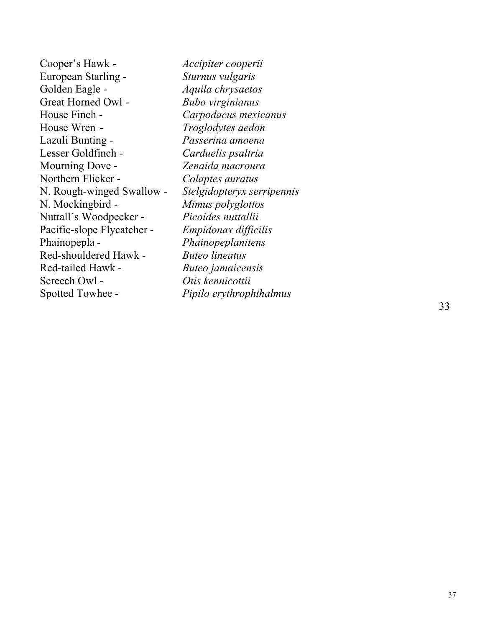Cooper's Hawk - *Accipiter cooperii*  European Starling - *Sturnus vulgaris*  Golden Eagle - *Aquila chrysaetos*  Great Horned Owl - *Bubo virginianus*  House Finch - *Carpodacus mexicanus*  House Wren - *Troglodytes aedon*  Lazuli Bunting - *Passerina amoena*  Lesser Goldfinch - *Carduelis psaltria*  Mourning Dove - *Zenaida macroura*  Northern Flicker - *Colaptes auratus*  N. Rough-winged Swallow - *Stelgidopteryx serripennis*  N. Mockingbird - *Mimus polyglottos*  Nuttall's Woodpecker - *Picoides nuttallii*  Pacific-slope Flycatcher - *Empidonax difficilis*  Phainopepla - *Phainopeplanitens*  Red-shouldered Hawk - *Buteo lineatus*  Red-tailed Hawk - *Buteo jamaicensis*  Screech Owl - *Otis kennicottii*  Spotted Towhee - *Pipilo erythrophthalmus* 

33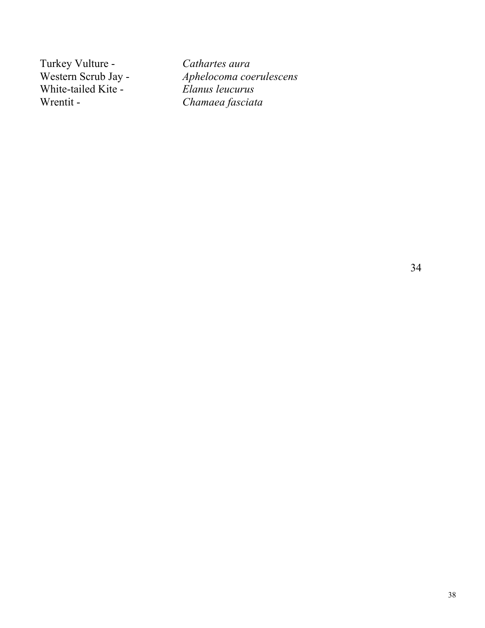Turkey Vulture - *Cathartes aura*<br>Western Scrub Jay - *Aphelocoma coe* White-tailed Kite -Wrentit - *Chamaea fasciata* 

Aphelocoma coerulescens<br>Elanus leucurus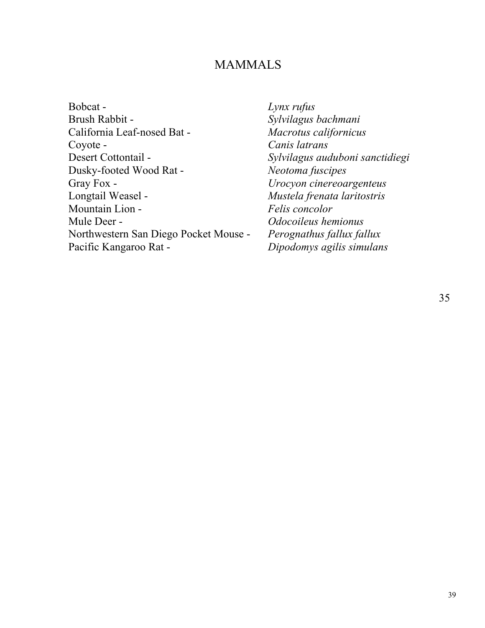#### MAMMALS

Lynx rufus Sylvilagus bachmani  $Macrotus$  californicus Canis latrans Desert Cottontail - *Sylvilagus auduboni sanctidiegi*  $N$ eotoma fuscipes Gray Fox - *Urocyon cinereoargenteus*  Longtail Weasel - *Mustela frenata laritostris*   $F$ elis concolor Mule Deer - *Odocoileus hemionus*  Perognathus fallux fallux Pacific Kangaroo Rat - *Dipodomys agilis simulans*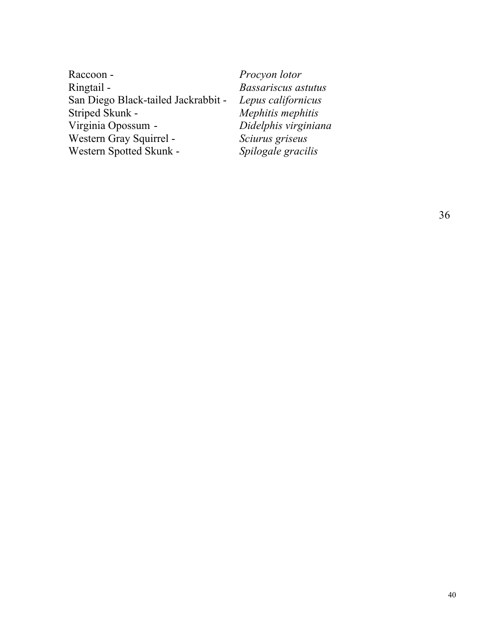| Raccoon -                           |
|-------------------------------------|
| Ringtail -                          |
| San Diego Black-tailed Jackrabbit - |
| Striped Skunk -                     |
| Virginia Opossum -                  |
| Western Gray Squirrel -             |
| Western Spotted Skunk -             |

Procyon lotor Ringtail - *Bassariscus astutus*  San Diego Black-tailed Jackrabbit - *Lepus californicus*  Mephitis mephitis Virginia Opossum - *Didelphis virginiana* Sciurus griseus Spilogale gracilis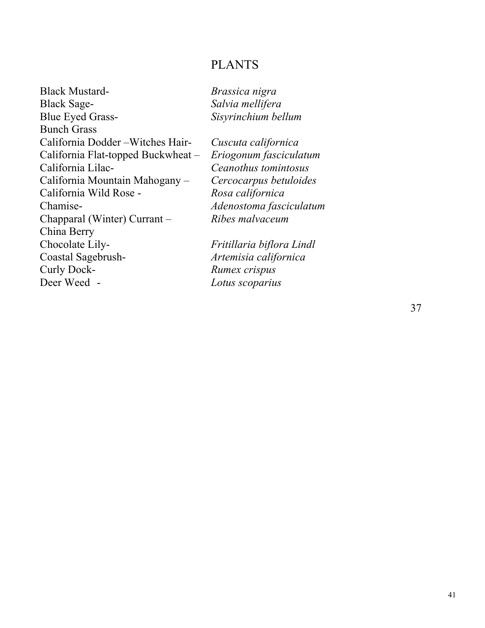#### PLANTS

Black Mustard- *Brassica nigra* Black Sage- *Salvia mellifera* Blue Eyed Grass- *Sisyrinchium bellum*  Bunch Grass California Dodder –Witches Hair- *Cuscuta californica*  California Flat-topped Buckwheat – *Eriogonum fasciculatum*  California Lilac- *Ceanothus tomintosus*  California Mountain Mahogany – *Cercocarpus betuloides*  California Wild Rose - *Rosa californica*  Chamise- *Adenostoma fasciculatum* Chapparal (Winter) Currant – *Ribes malvaceum*  China Berry Chocolate Lily- *Fritillaria biflora Lindl*  Coastal Sagebrush- *Artemisia californica* Curly Dock- *Rumex crispus* Deer Weed - *Lotus scoparius*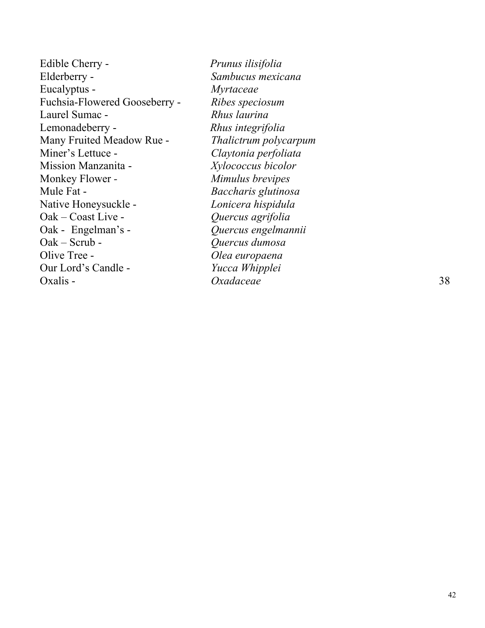| Edible Cherry -                  |
|----------------------------------|
| Elderberry -                     |
| Eucalyptus -                     |
| Fuchsia-Flowered Gooseberry -    |
| Laurel Sumac -                   |
| Lemonadeberry -                  |
| <b>Many Fruited Meadow Rue -</b> |
| Miner's Lettuce -                |
| <b>Mission Manzanita -</b>       |
| Monkey Flower -                  |
| Mule Fat -                       |
| Native Honeysuckle -             |
| Oak – Coast Live -               |
| Oak - Engelman's -               |
| Oak – Scrub -                    |
| Olive Tree -                     |
| Our Lord's Candle -              |
| Oxalis -                         |

Edible Cherry - *Prunus ilisifolia* Sambucus mexicana  $Myrtaceae$ Fuchsia-Flowered Gooseberry - *Ribes speciosum*  Laurel Sumac - *Rhus laurina*   $R$ *hus integrifolia* **Thalictrum polycarpum** Miner's Lettuce - *Claytonia perfoliata*  Mission Manzanita - *Xylococcus bicolor*  **Mimulus brevipes** Mule Fat - *Baccharis glutinosa*  Lonicera hispidula Oak – Coast Live - *Quercus agrifolia*  Oak - Engelman's - *Quercus engelmannii*  Oak – Scrub - *Quercus dumosa*  Olea europaena Yucca Whipplei Oxalis - *Oxadaceae* 38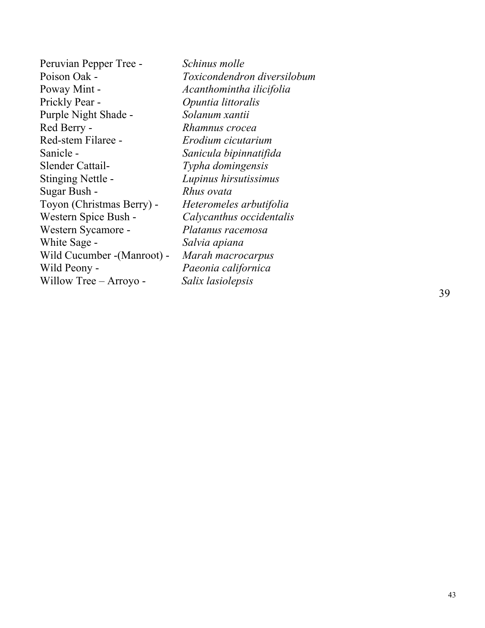Peruvian Pepper Tree - *Schinus molle* Poison Oak - *Toxicondendron diversilobum*  Poway Mint - *Acanthomintha ilicifolia*  Prickly Pear - *Opuntia littoralis*  Purple Night Shade - *Solanum xantii*  Red Berry - *Rhamnus crocea*  Red-stem Filaree - *Erodium cicutarium*  Sanicle - *Sanicula bipinnatifida*  Slender Cattail- *Typha domingensis*  Stinging Nettle - *Lupinus hirsutissimus* Sugar Bush - *Rhus ovata*  Toyon (Christmas Berry) - *Heteromeles arbutifolia*  Western Spice Bush - *Calycanthus occidentalis*  Western Sycamore - *Platanus racemosa*  White Sage - *Salvia apiana*  Wild Cucumber -(Manroot) - *Marah macrocarpus*  Wild Peony - *Paeonia californica*  Willow Tree – Arroyo - *Salix lasiolepsis*  39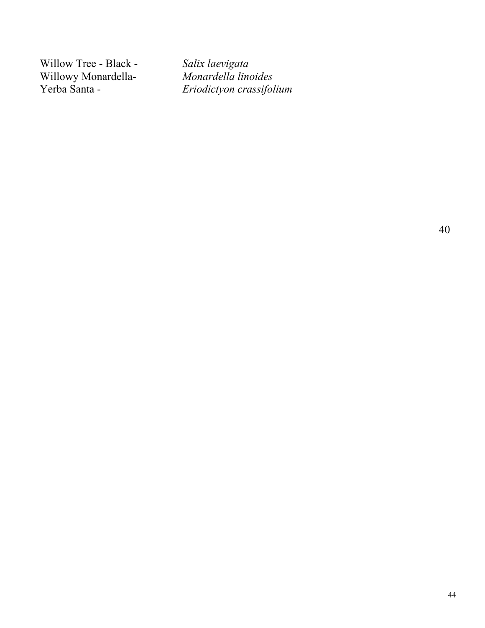Willow Tree - Black - *Salix laevigata*<br>Willowy Monardella- *Monardella linoides* Willowy Monardella-<br>Yerba Santa -

 $Eriodictyon$  crassifolium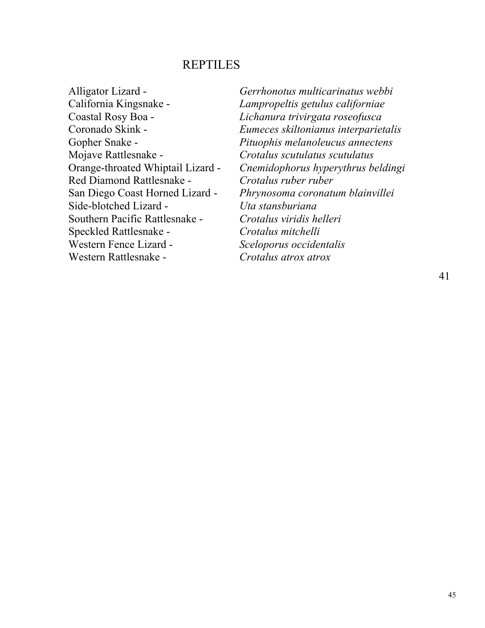#### REPTILES

- California Kingsnake *Lampropeltis getulus californiae*  Coastal Rosy Boa - *Lichanura trivirgata roseofusca*  Mojave Rattlesnake - *Crotalus scutulatus scutulatus*  Red Diamond Rattlesnake - *Crotalus ruber ruber* Side-blotched Lizard - *Uta stansburiana*  Southern Pacific Rattlesnake - *Crotalus viridis helleri* Speckled Rattlesnake - *Crotalus mitchelli*  Western Fence Lizard - *Sceloporus occidentalis* Western Rattlesnake - *Crotalus atrox atrox*
- Alligator Lizard *Gerrhonotus multicarinatus webbi* Coronado Skink - *Eumeces skiltonianus interparietalis*  Gopher Snake - *Pituophis melanoleucus annectens*  Orange-throated Whiptail Lizard - *Cnemidophorus hyperythrus beldingi*  San Diego Coast Horned Lizard - *Phrynosoma coronatum blainvillei*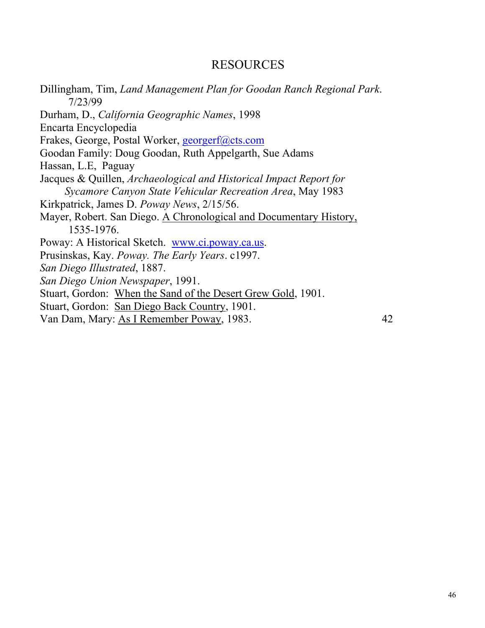#### RESOURCES

Dillingham, Tim, *Land Management Plan for Goodan Ranch Regional Park*. 7/23/99 Durham, D., *California Geographic Names*, 1998 Encarta Encyclopedia Frakes, George, Postal Worker, georgerf@cts.com Goodan Family: Doug Goodan, Ruth Appelgarth, Sue Adams Hassan, L.E, Paguay Jacques & Quillen, *Archaeological and Historical Impact Report for Sycamore Canyon State Vehicular Recreation Area*, May 1983 Kirkpatrick, James D. *Poway News*, 2/15/56. Mayer, Robert. San Diego. A Chronological and Documentary History, 1535-1976. Poway: A Historical Sketch. www.ci.poway.ca.us. Prusinskas, Kay. *Poway. The Early Years*. c1997. *San Diego Illustrated*, 1887. *San Diego Union Newspaper*, 1991. Stuart, Gordon: When the Sand of the Desert Grew Gold, 1901. Stuart, Gordon: San Diego Back Country, 1901. Van Dam, Mary: As I Remember Poway, 1983. 42